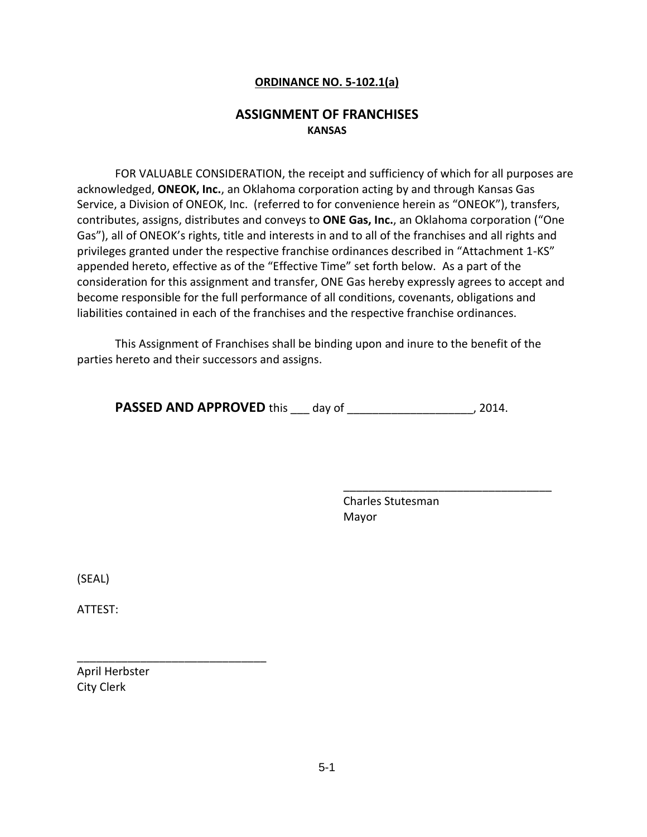## **ORDINANCE NO. 5-102.1(a)**

# **ASSIGNMENT OF FRANCHISES KANSAS**

FOR VALUABLE CONSIDERATION, the receipt and sufficiency of which for all purposes are acknowledged, **ONEOK, Inc.**, an Oklahoma corporation acting by and through Kansas Gas Service, a Division of ONEOK, Inc. (referred to for convenience herein as "ONEOK"), transfers, contributes, assigns, distributes and conveys to **ONE Gas, Inc.**, an Oklahoma corporation ("One Gas"), all of ONEOK's rights, title and interests in and to all of the franchises and all rights and privileges granted under the respective franchise ordinances described in "Attachment 1-KS" appended hereto, effective as of the "Effective Time" set forth below. As a part of the consideration for this assignment and transfer, ONE Gas hereby expressly agrees to accept and become responsible for the full performance of all conditions, covenants, obligations and liabilities contained in each of the franchises and the respective franchise ordinances.

This Assignment of Franchises shall be binding upon and inure to the benefit of the parties hereto and their successors and assigns.

**PASSED AND APPROVED** this \_\_\_ day of \_\_\_\_\_\_\_\_\_\_\_\_\_\_\_\_\_\_\_, 2014.

Charles Stutesman Mayor

\_\_\_\_\_\_\_\_\_\_\_\_\_\_\_\_\_\_\_\_\_\_\_\_\_\_\_\_\_\_\_\_\_

(SEAL)

ATTEST:

April Herbster City Clerk

\_\_\_\_\_\_\_\_\_\_\_\_\_\_\_\_\_\_\_\_\_\_\_\_\_\_\_\_\_\_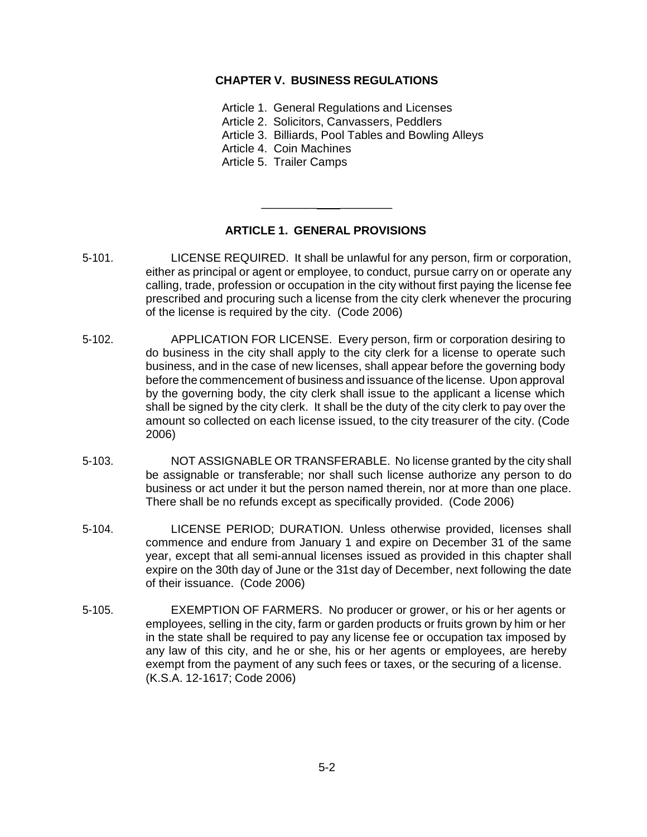## **CHAPTER V. BUSINESS REGULATIONS**

Article 1. General Regulations and Licenses

Article 2. Solicitors, Canvassers, Peddlers

Article 3. Billiards, Pool Tables and Bowling Alleys

Article 4. Coin Machines

Article 5. Trailer Camps

## **ARTICLE 1. GENERAL PROVISIONS**

\_\_\_\_\_\_\_\_\_ \_\_\_\_\_\_\_\_

- 5-101. LICENSE REQUIRED. It shall be unlawful for any person, firm or corporation, either as principal or agent or employee, to conduct, pursue carry on or operate any calling, trade, profession or occupation in the city without first paying the license fee prescribed and procuring such a license from the city clerk whenever the procuring of the license is required by the city. (Code 2006)
- 5-102. APPLICATION FOR LICENSE. Every person, firm or corporation desiring to do business in the city shall apply to the city clerk for a license to operate such business, and in the case of new licenses, shall appear before the governing body before the commencement of business and issuance of the license. Upon approval by the governing body, the city clerk shall issue to the applicant a license which shall be signed by the city clerk. It shall be the duty of the city clerk to pay over the amount so collected on each license issued, to the city treasurer of the city. (Code 2006)
- 5-103. NOT ASSIGNABLE OR TRANSFERABLE. No license granted by the city shall be assignable or transferable; nor shall such license authorize any person to do business or act under it but the person named therein, nor at more than one place. There shall be no refunds except as specifically provided. (Code 2006)
- 5-104. LICENSE PERIOD; DURATION. Unless otherwise provided, licenses shall commence and endure from January 1 and expire on December 31 of the same year, except that all semi-annual licenses issued as provided in this chapter shall expire on the 30th day of June or the 31st day of December, next following the date of their issuance. (Code 2006)
- 5-105. EXEMPTION OF FARMERS. No producer or grower, or his or her agents or employees, selling in the city, farm or garden products or fruits grown by him or her in the state shall be required to pay any license fee or occupation tax imposed by any law of this city, and he or she, his or her agents or employees, are hereby exempt from the payment of any such fees or taxes, or the securing of a license. (K.S.A. 12-1617; Code 2006)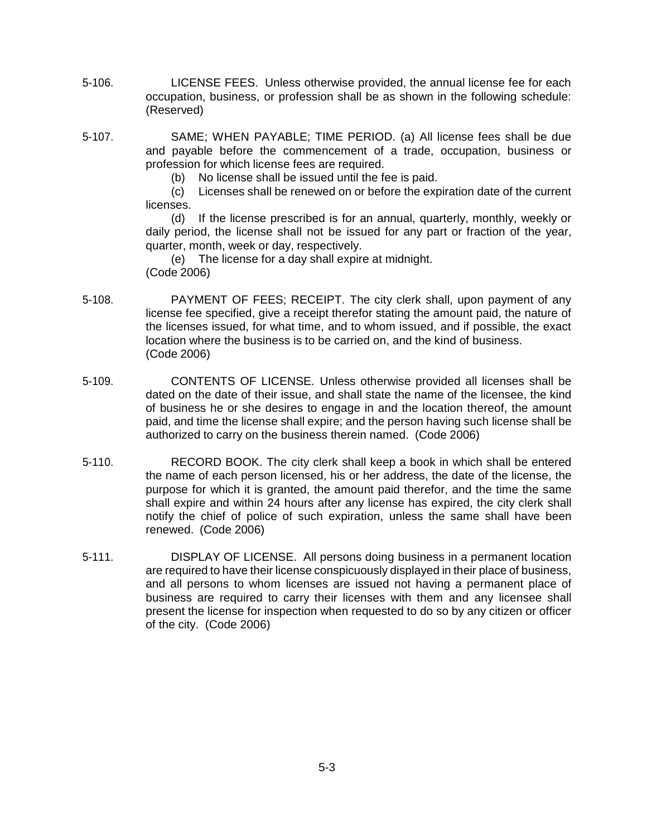- 5-106. LICENSE FEES. Unless otherwise provided, the annual license fee for each occupation, business, or profession shall be as shown in the following schedule: (Reserved)
- 5-107. SAME; WHEN PAYABLE; TIME PERIOD. (a) All license fees shall be due and payable before the commencement of a trade, occupation, business or profession for which license fees are required.
	- (b) No license shall be issued until the fee is paid.
	- (c) Licenses shall be renewed on or before the expiration date of the current licenses.

(d) If the license prescribed is for an annual, quarterly, monthly, weekly or daily period, the license shall not be issued for any part or fraction of the year, quarter, month, week or day, respectively.

(e) The license for a day shall expire at midnight. (Code 2006)

- 5-108. PAYMENT OF FEES; RECEIPT. The city clerk shall, upon payment of any license fee specified, give a receipt therefor stating the amount paid, the nature of the licenses issued, for what time, and to whom issued, and if possible, the exact location where the business is to be carried on, and the kind of business. (Code 2006)
- 5-109. CONTENTS OF LICENSE. Unless otherwise provided all licenses shall be dated on the date of their issue, and shall state the name of the licensee, the kind of business he or she desires to engage in and the location thereof, the amount paid, and time the license shall expire; and the person having such license shall be authorized to carry on the business therein named. (Code 2006)
- 5-110. RECORD BOOK. The city clerk shall keep a book in which shall be entered the name of each person licensed, his or her address, the date of the license, the purpose for which it is granted, the amount paid therefor, and the time the same shall expire and within 24 hours after any license has expired, the city clerk shall notify the chief of police of such expiration, unless the same shall have been renewed. (Code 2006)
- 5-111. DISPLAY OF LICENSE. All persons doing business in a permanent location are required to have their license conspicuously displayed in their place of business, and all persons to whom licenses are issued not having a permanent place of business are required to carry their licenses with them and any licensee shall present the license for inspection when requested to do so by any citizen or officer of the city. (Code 2006)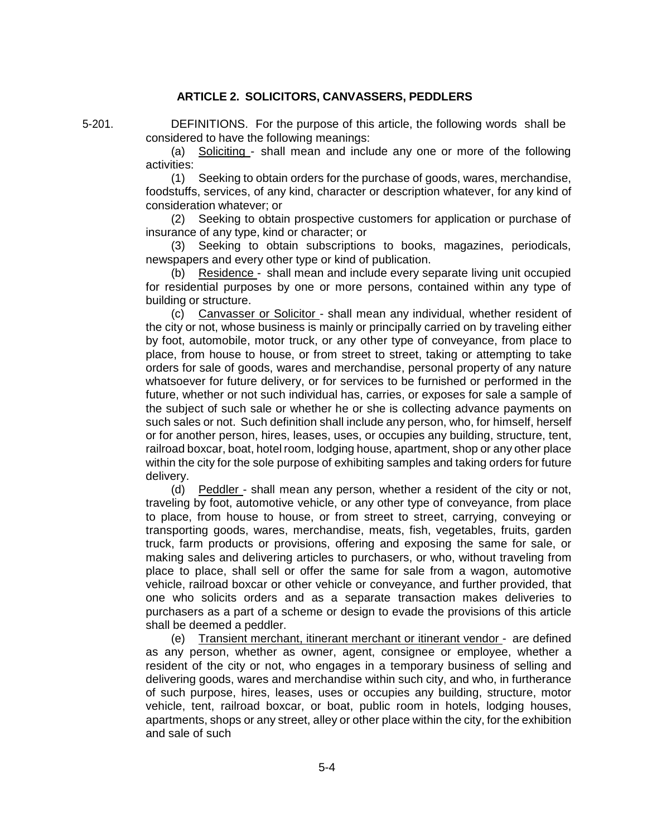## **ARTICLE 2. SOLICITORS, CANVASSERS, PEDDLERS**

5-201. DEFINITIONS. For the purpose of this article, the following words shall be considered to have the following meanings:

> (a) Soliciting - shall mean and include any one or more of the following activities:

> (1) Seeking to obtain orders for the purchase of goods, wares, merchandise, foodstuffs, services, of any kind, character or description whatever, for any kind of consideration whatever; or

> (2) Seeking to obtain prospective customers for application or purchase of insurance of any type, kind or character; or

> (3) Seeking to obtain subscriptions to books, magazines, periodicals, newspapers and every other type or kind of publication.

> (b) Residence - shall mean and include every separate living unit occupied for residential purposes by one or more persons, contained within any type of building or structure.

> (c) Canvasser or Solicitor - shall mean any individual, whether resident of the city or not, whose business is mainly or principally carried on by traveling either by foot, automobile, motor truck, or any other type of conveyance, from place to place, from house to house, or from street to street, taking or attempting to take orders for sale of goods, wares and merchandise, personal property of any nature whatsoever for future delivery, or for services to be furnished or performed in the future, whether or not such individual has, carries, or exposes for sale a sample of the subject of such sale or whether he or she is collecting advance payments on such sales or not. Such definition shall include any person, who, for himself, herself or for another person, hires, leases, uses, or occupies any building, structure, tent, railroad boxcar, boat, hotel room, lodging house, apartment, shop or any other place within the city for the sole purpose of exhibiting samples and taking orders for future delivery.

> (d) Peddler - shall mean any person, whether a resident of the city or not, traveling by foot, automotive vehicle, or any other type of conveyance, from place to place, from house to house, or from street to street, carrying, conveying or transporting goods, wares, merchandise, meats, fish, vegetables, fruits, garden truck, farm products or provisions, offering and exposing the same for sale, or making sales and delivering articles to purchasers, or who, without traveling from place to place, shall sell or offer the same for sale from a wagon, automotive vehicle, railroad boxcar or other vehicle or conveyance, and further provided, that one who solicits orders and as a separate transaction makes deliveries to purchasers as a part of a scheme or design to evade the provisions of this article shall be deemed a peddler.

> (e) Transient merchant, itinerant merchant or itinerant vendor - are defined as any person, whether as owner, agent, consignee or employee, whether a resident of the city or not, who engages in a temporary business of selling and delivering goods, wares and merchandise within such city, and who, in furtherance of such purpose, hires, leases, uses or occupies any building, structure, motor vehicle, tent, railroad boxcar, or boat, public room in hotels, lodging houses, apartments, shops or any street, alley or other place within the city, for the exhibition and sale of such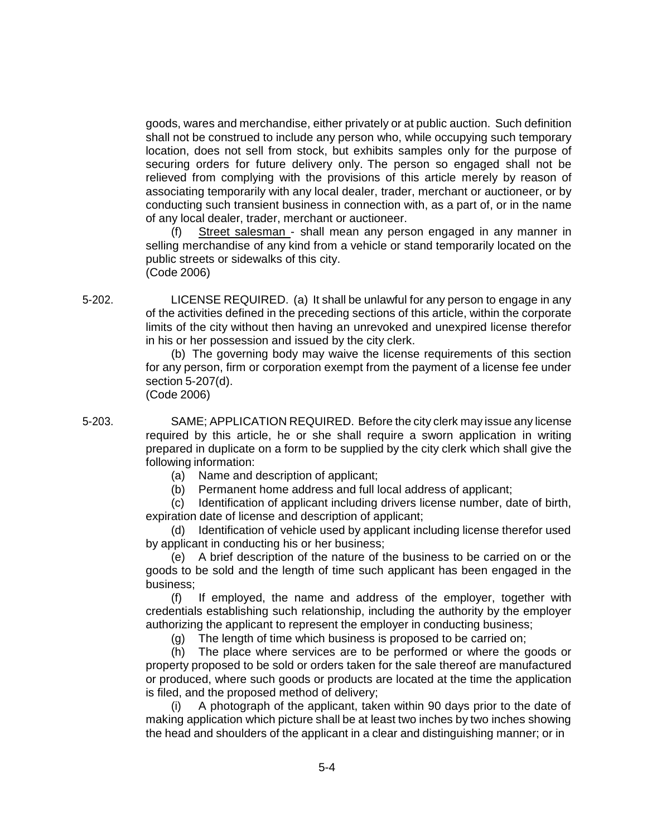goods, wares and merchandise, either privately or at public auction. Such definition shall not be construed to include any person who, while occupying such temporary location, does not sell from stock, but exhibits samples only for the purpose of securing orders for future delivery only. The person so engaged shall not be relieved from complying with the provisions of this article merely by reason of associating temporarily with any local dealer, trader, merchant or auctioneer, or by conducting such transient business in connection with, as a part of, or in the name of any local dealer, trader, merchant or auctioneer.

(f) Street salesman - shall mean any person engaged in any manner in selling merchandise of any kind from a vehicle or stand temporarily located on the public streets or sidewalks of this city. (Code 2006)

5-202. LICENSE REQUIRED. (a) It shall be unlawful for any person to engage in any of the activities defined in the preceding sections of this article, within the corporate limits of the city without then having an unrevoked and unexpired license therefor in his or her possession and issued by the city clerk.

> (b) The governing body may waive the license requirements of this section for any person, firm or corporation exempt from the payment of a license fee under section 5-207(d).

(Code 2006)

5-203. SAME; APPLICATION REQUIRED. Before the city clerk may issue any license required by this article, he or she shall require a sworn application in writing prepared in duplicate on a form to be supplied by the city clerk which shall give the following information:

- (a) Name and description of applicant;
- (b) Permanent home address and full local address of applicant;

(c) Identification of applicant including drivers license number, date of birth, expiration date of license and description of applicant;

(d) Identification of vehicle used by applicant including license therefor used by applicant in conducting his or her business;

(e) A brief description of the nature of the business to be carried on or the goods to be sold and the length of time such applicant has been engaged in the business;

(f) If employed, the name and address of the employer, together with credentials establishing such relationship, including the authority by the employer authorizing the applicant to represent the employer in conducting business;

(g) The length of time which business is proposed to be carried on;

(h) The place where services are to be performed or where the goods or property proposed to be sold or orders taken for the sale thereof are manufactured or produced, where such goods or products are located at the time the application is filed, and the proposed method of delivery;

(i) A photograph of the applicant, taken within 90 days prior to the date of making application which picture shall be at least two inches by two inches showing the head and shoulders of the applicant in a clear and distinguishing manner; or in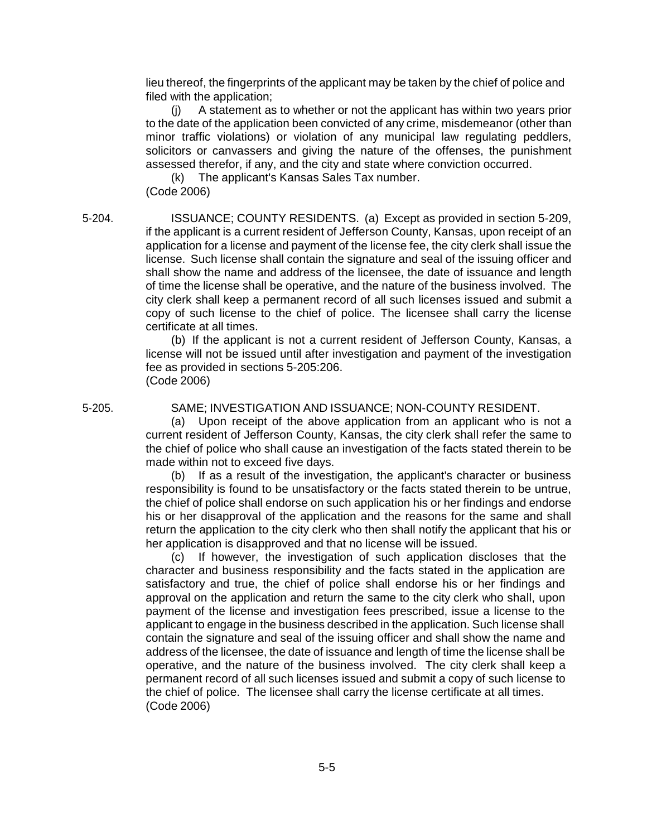lieu thereof, the fingerprints of the applicant may be taken by the chief of police and filed with the application;

(j) A statement as to whether or not the applicant has within two years prior to the date of the application been convicted of any crime, misdemeanor (other than minor traffic violations) or violation of any municipal law regulating peddlers, solicitors or canvassers and giving the nature of the offenses, the punishment assessed therefor, if any, and the city and state where conviction occurred.

(k) The applicant's Kansas Sales Tax number. (Code 2006)

5-204. ISSUANCE; COUNTY RESIDENTS. (a) Except as provided in section 5-209, if the applicant is a current resident of Jefferson County, Kansas, upon receipt of an application for a license and payment of the license fee, the city clerk shall issue the license. Such license shall contain the signature and seal of the issuing officer and shall show the name and address of the licensee, the date of issuance and length of time the license shall be operative, and the nature of the business involved. The city clerk shall keep a permanent record of all such licenses issued and submit a copy of such license to the chief of police. The licensee shall carry the license certificate at all times.

> (b) If the applicant is not a current resident of Jefferson County, Kansas, a license will not be issued until after investigation and payment of the investigation fee as provided in sections 5-205:206. (Code 2006)

#### 5-205. SAME; INVESTIGATION AND ISSUANCE; NON-COUNTY RESIDENT.

(a) Upon receipt of the above application from an applicant who is not a current resident of Jefferson County, Kansas, the city clerk shall refer the same to the chief of police who shall cause an investigation of the facts stated therein to be made within not to exceed five days.

(b) If as a result of the investigation, the applicant's character or business responsibility is found to be unsatisfactory or the facts stated therein to be untrue, the chief of police shall endorse on such application his or her findings and endorse his or her disapproval of the application and the reasons for the same and shall return the application to the city clerk who then shall notify the applicant that his or her application is disapproved and that no license will be issued.

(c) If however, the investigation of such application discloses that the character and business responsibility and the facts stated in the application are satisfactory and true, the chief of police shall endorse his or her findings and approval on the application and return the same to the city clerk who shall, upon payment of the license and investigation fees prescribed, issue a license to the applicant to engage in the business described in the application. Such license shall contain the signature and seal of the issuing officer and shall show the name and address of the licensee, the date of issuance and length of time the license shall be operative, and the nature of the business involved. The city clerk shall keep a permanent record of all such licenses issued and submit a copy of such license to the chief of police. The licensee shall carry the license certificate at all times. (Code 2006)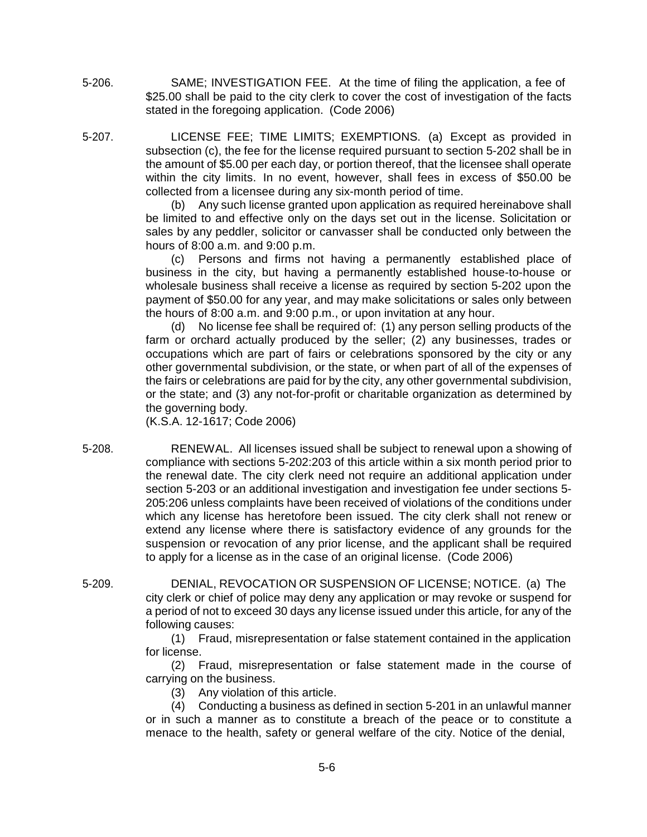5-206. SAME; INVESTIGATION FEE. At the time of filing the application, a fee of \$25.00 shall be paid to the city clerk to cover the cost of investigation of the facts stated in the foregoing application. (Code 2006)

5-207. LICENSE FEE; TIME LIMITS; EXEMPTIONS. (a) Except as provided in subsection (c), the fee for the license required pursuant to section 5-202 shall be in the amount of \$5.00 per each day, or portion thereof, that the licensee shall operate within the city limits. In no event, however, shall fees in excess of \$50.00 be collected from a licensee during any six-month period of time.

> (b) Any such license granted upon application as required hereinabove shall be limited to and effective only on the days set out in the license. Solicitation or sales by any peddler, solicitor or canvasser shall be conducted only between the hours of 8:00 a.m. and 9:00 p.m.

> (c) Persons and firms not having a permanently established place of business in the city, but having a permanently established house-to-house or wholesale business shall receive a license as required by section 5-202 upon the payment of \$50.00 for any year, and may make solicitations or sales only between the hours of 8:00 a.m. and 9:00 p.m., or upon invitation at any hour.

> (d) No license fee shall be required of: (1) any person selling products of the farm or orchard actually produced by the seller; (2) any businesses, trades or occupations which are part of fairs or celebrations sponsored by the city or any other governmental subdivision, or the state, or when part of all of the expenses of the fairs or celebrations are paid for by the city, any other governmental subdivision, or the state; and (3) any not-for-profit or charitable organization as determined by the governing body.

(K.S.A. 12-1617; Code 2006)

- 5-208. RENEWAL. All licenses issued shall be subject to renewal upon a showing of compliance with sections 5-202:203 of this article within a six month period prior to the renewal date. The city clerk need not require an additional application under section 5-203 or an additional investigation and investigation fee under sections 5- 205:206 unless complaints have been received of violations of the conditions under which any license has heretofore been issued. The city clerk shall not renew or extend any license where there is satisfactory evidence of any grounds for the suspension or revocation of any prior license, and the applicant shall be required to apply for a license as in the case of an original license. (Code 2006)
- 5-209. DENIAL, REVOCATION OR SUSPENSION OF LICENSE; NOTICE. (a) The city clerk or chief of police may deny any application or may revoke or suspend for a period of not to exceed 30 days any license issued under this article, for any of the following causes:

(1) Fraud, misrepresentation or false statement contained in the application for license.

(2) Fraud, misrepresentation or false statement made in the course of carrying on the business.

(3) Any violation of this article.

(4) Conducting a business as defined in section 5-201 in an unlawful manner or in such a manner as to constitute a breach of the peace or to constitute a menace to the health, safety or general welfare of the city. Notice of the denial,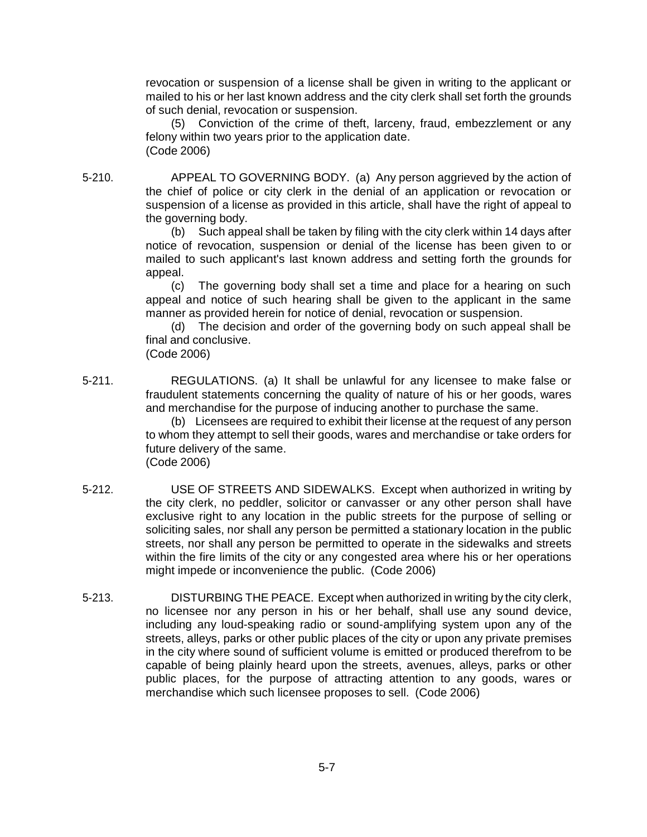revocation or suspension of a license shall be given in writing to the applicant or mailed to his or her last known address and the city clerk shall set forth the grounds of such denial, revocation or suspension.

(5) Conviction of the crime of theft, larceny, fraud, embezzlement or any felony within two years prior to the application date. (Code 2006)

5-210. APPEAL TO GOVERNING BODY. (a) Any person aggrieved by the action of the chief of police or city clerk in the denial of an application or revocation or suspension of a license as provided in this article, shall have the right of appeal to the governing body.

> (b) Such appeal shall be taken by filing with the city clerk within 14 days after notice of revocation, suspension or denial of the license has been given to or mailed to such applicant's last known address and setting forth the grounds for appeal.

> (c) The governing body shall set a time and place for a hearing on such appeal and notice of such hearing shall be given to the applicant in the same manner as provided herein for notice of denial, revocation or suspension.

> (d) The decision and order of the governing body on such appeal shall be final and conclusive.

(Code 2006)

5-211. REGULATIONS. (a) It shall be unlawful for any licensee to make false or fraudulent statements concerning the quality of nature of his or her goods, wares and merchandise for the purpose of inducing another to purchase the same.

> (b) Licensees are required to exhibit their license at the request of any person to whom they attempt to sell their goods, wares and merchandise or take orders for future delivery of the same.

(Code 2006)

- 5-212. USE OF STREETS AND SIDEWALKS. Except when authorized in writing by the city clerk, no peddler, solicitor or canvasser or any other person shall have exclusive right to any location in the public streets for the purpose of selling or soliciting sales, nor shall any person be permitted a stationary location in the public streets, nor shall any person be permitted to operate in the sidewalks and streets within the fire limits of the city or any congested area where his or her operations might impede or inconvenience the public. (Code 2006)
- 5-213. DISTURBING THE PEACE. Except when authorized in writing by the city clerk, no licensee nor any person in his or her behalf, shall use any sound device, including any loud-speaking radio or sound-amplifying system upon any of the streets, alleys, parks or other public places of the city or upon any private premises in the city where sound of sufficient volume is emitted or produced therefrom to be capable of being plainly heard upon the streets, avenues, alleys, parks or other public places, for the purpose of attracting attention to any goods, wares or merchandise which such licensee proposes to sell. (Code 2006)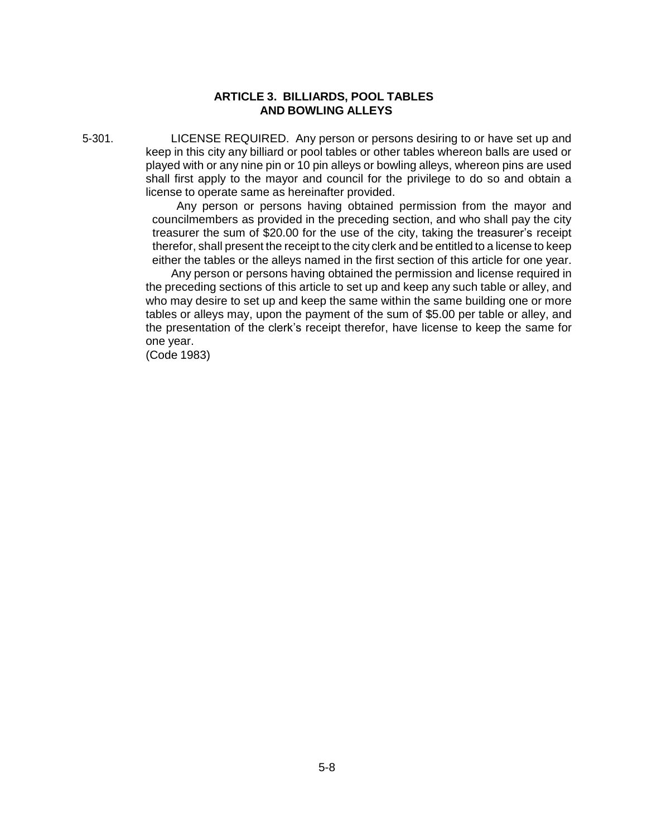## **ARTICLE 3. BILLIARDS, POOL TABLES AND BOWLING ALLEYS**

5-301. LICENSE REQUIRED. Any person or persons desiring to or have set up and keep in this city any billiard or pool tables or other tables whereon balls are used or played with or any nine pin or 10 pin alleys or bowling alleys, whereon pins are used shall first apply to the mayor and council for the privilege to do so and obtain a license to operate same as hereinafter provided.

> Any person or persons having obtained permission from the mayor and councilmembers as provided in the preceding section, and who shall pay the city treasurer the sum of \$20.00 for the use of the city, taking the treasurer's receipt therefor, shall present the receipt to the city clerk and be entitled to a license to keep either the tables or the alleys named in the first section of this article for one year.

Any person or persons having obtained the permission and license required in the preceding sections of this article to set up and keep any such table or alley, and who may desire to set up and keep the same within the same building one or more tables or alleys may, upon the payment of the sum of \$5.00 per table or alley, and the presentation of the clerk's receipt therefor, have license to keep the same for one year.

(Code 1983)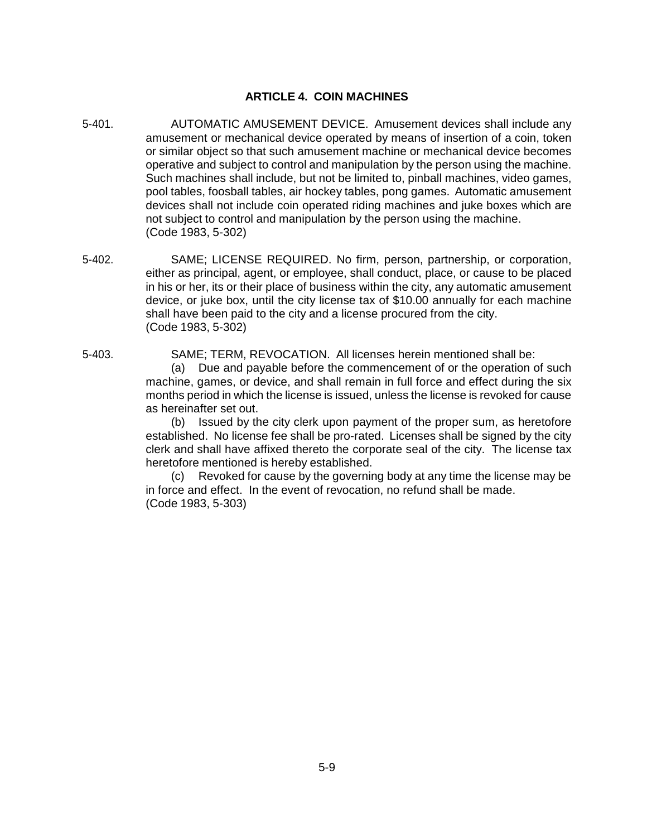## **ARTICLE 4. COIN MACHINES**

- 5-401. AUTOMATIC AMUSEMENT DEVICE. Amusement devices shall include any amusement or mechanical device operated by means of insertion of a coin, token or similar object so that such amusement machine or mechanical device becomes operative and subject to control and manipulation by the person using the machine. Such machines shall include, but not be limited to, pinball machines, video games, pool tables, foosball tables, air hockey tables, pong games. Automatic amusement devices shall not include coin operated riding machines and juke boxes which are not subject to control and manipulation by the person using the machine. (Code 1983, 5-302)
- 5-402. SAME; LICENSE REQUIRED. No firm, person, partnership, or corporation, either as principal, agent, or employee, shall conduct, place, or cause to be placed in his or her, its or their place of business within the city, any automatic amusement device, or juke box, until the city license tax of \$10.00 annually for each machine shall have been paid to the city and a license procured from the city. (Code 1983, 5-302)
- 5-403. SAME; TERM, REVOCATION. All licenses herein mentioned shall be:

(a) Due and payable before the commencement of or the operation of such machine, games, or device, and shall remain in full force and effect during the six months period in which the license is issued, unless the license is revoked for cause as hereinafter set out.

(b) Issued by the city clerk upon payment of the proper sum, as heretofore established. No license fee shall be pro-rated. Licenses shall be signed by the city clerk and shall have affixed thereto the corporate seal of the city. The license tax heretofore mentioned is hereby established.

(c) Revoked for cause by the governing body at any time the license may be in force and effect. In the event of revocation, no refund shall be made. (Code 1983, 5-303)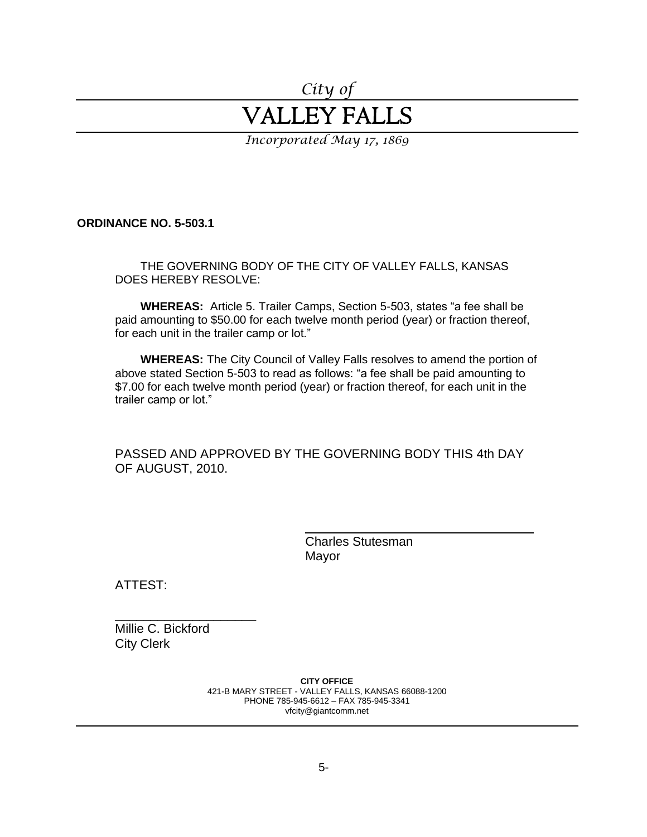# *City of* VALLEY FALLS

*Incorporated May 17, 1869*

**ORDINANCE NO. 5-503.1**

THE GOVERNING BODY OF THE CITY OF VALLEY FALLS, KANSAS DOES HEREBY RESOLVE:

**WHEREAS:** Article 5. Trailer Camps, Section 5-503, states "a fee shall be paid amounting to \$50.00 for each twelve month period (year) or fraction thereof, for each unit in the trailer camp or lot."

**WHEREAS:** The City Council of Valley Falls resolves to amend the portion of above stated Section 5-503 to read as follows: "a fee shall be paid amounting to \$7.00 for each twelve month period (year) or fraction thereof, for each unit in the trailer camp or lot."

PASSED AND APPROVED BY THE GOVERNING BODY THIS 4th DAY OF AUGUST, 2010.

> Charles Stutesman Mayor

ATTEST:

Millie C. Bickford City Clerk

\_\_\_\_\_\_\_\_\_\_\_\_\_\_\_\_\_\_\_\_

**CITY OFFICE** 421-B MARY STREET - VALLEY FALLS, KANSAS 66088-1200 PHONE 785-945-6612 – FAX 785-945-3341 vfcity@giantcomm.net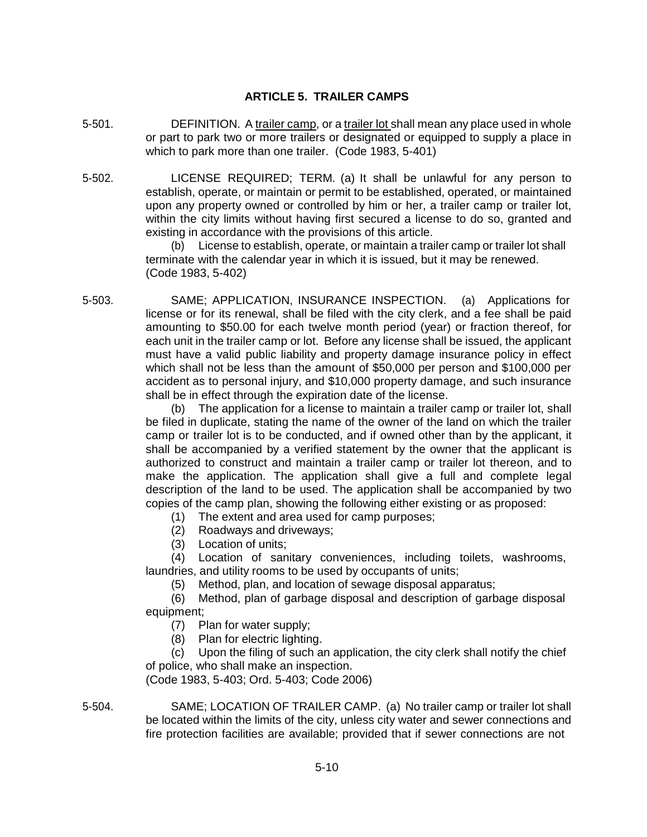## **ARTICLE 5. TRAILER CAMPS**

- 5-501. DEFINITION. A trailer camp, or a trailer lot shall mean any place used in whole or part to park two or more trailers or designated or equipped to supply a place in which to park more than one trailer. (Code 1983, 5-401)
- 5-502. LICENSE REQUIRED; TERM. (a) It shall be unlawful for any person to establish, operate, or maintain or permit to be established, operated, or maintained upon any property owned or controlled by him or her, a trailer camp or trailer lot, within the city limits without having first secured a license to do so, granted and existing in accordance with the provisions of this article.

(b) License to establish, operate, or maintain a trailer camp or trailer lot shall terminate with the calendar year in which it is issued, but it may be renewed. (Code 1983, 5-402)

5-503. SAME; APPLICATION, INSURANCE INSPECTION. (a) Applications for license or for its renewal, shall be filed with the city clerk, and a fee shall be paid amounting to \$50.00 for each twelve month period (year) or fraction thereof, for each unit in the trailer camp or lot. Before any license shall be issued, the applicant must have a valid public liability and property damage insurance policy in effect which shall not be less than the amount of \$50,000 per person and \$100,000 per accident as to personal injury, and \$10,000 property damage, and such insurance shall be in effect through the expiration date of the license.

> (b) The application for a license to maintain a trailer camp or trailer lot, shall be filed in duplicate, stating the name of the owner of the land on which the trailer camp or trailer lot is to be conducted, and if owned other than by the applicant, it shall be accompanied by a verified statement by the owner that the applicant is authorized to construct and maintain a trailer camp or trailer lot thereon, and to make the application. The application shall give a full and complete legal description of the land to be used. The application shall be accompanied by two copies of the camp plan, showing the following either existing or as proposed:

- (1) The extent and area used for camp purposes;
- (2) Roadways and driveways;
- (3) Location of units;

(4) Location of sanitary conveniences, including toilets, washrooms, laundries, and utility rooms to be used by occupants of units;

(5) Method, plan, and location of sewage disposal apparatus;

(6) Method, plan of garbage disposal and description of garbage disposal equipment;

- (7) Plan for water supply;
- (8) Plan for electric lighting.

(c) Upon the filing of such an application, the city clerk shall notify the chief of police, who shall make an inspection.

(Code 1983, 5-403; Ord. 5-403; Code 2006)

5-504. SAME; LOCATION OF TRAILER CAMP. (a) No trailer camp or trailer lot shall be located within the limits of the city, unless city water and sewer connections and fire protection facilities are available; provided that if sewer connections are not